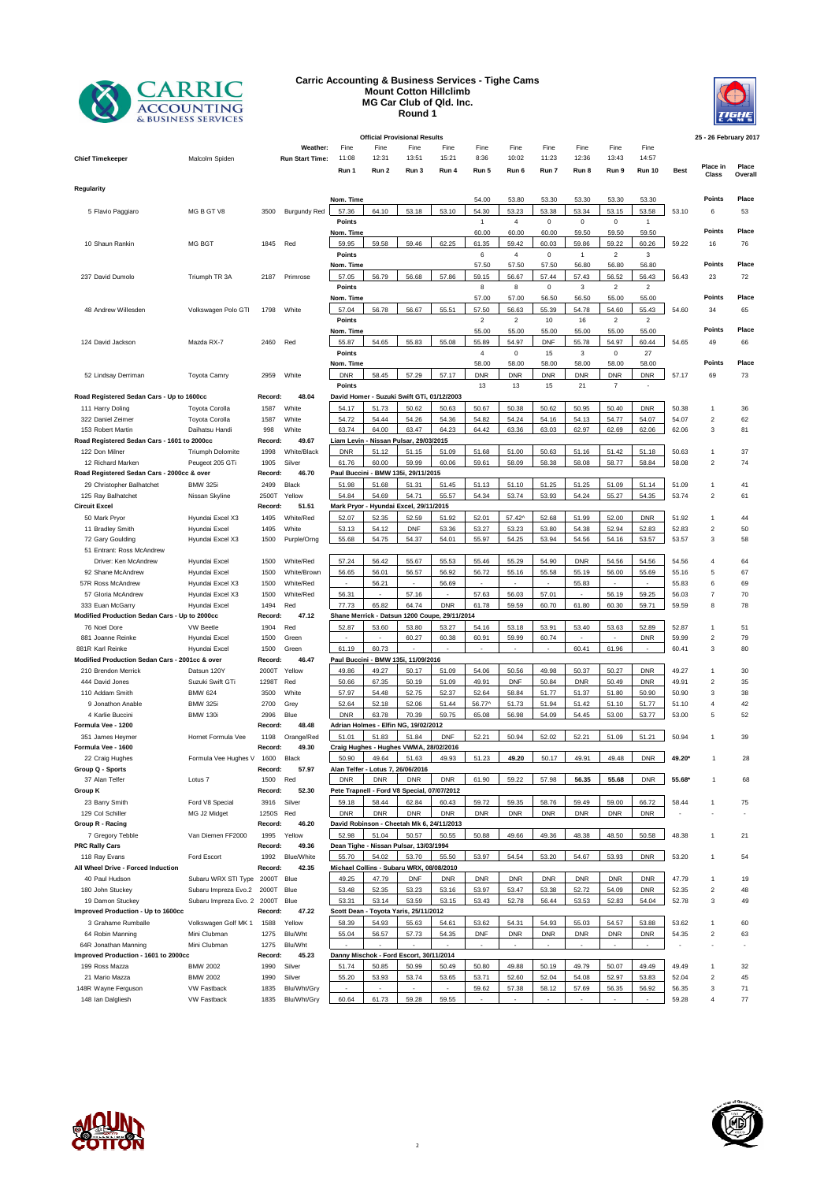

## **Carric Accounting & Business Services - Tighe Cams Mount Cotton Hillclimb MG Car Club of Qld. Inc. Round 1**



| <b>Official Provisional Results</b><br>25 - 26 February 2017 |                                    |                  |                     |                                                 |                |                           |                                               |                  |                        |                      |              |                              |                         |                |                         |          |
|--------------------------------------------------------------|------------------------------------|------------------|---------------------|-------------------------------------------------|----------------|---------------------------|-----------------------------------------------|------------------|------------------------|----------------------|--------------|------------------------------|-------------------------|----------------|-------------------------|----------|
|                                                              |                                    |                  | Weather:            | Fine                                            | Fine           | Fine                      | Fine                                          | Fine             | Fine                   | Fine                 | Fine         | Fine                         | Fine                    |                |                         |          |
| <b>Chief Timekeeper</b>                                      | Malcolm Spiden                     |                  | Run Start Time:     | 11:08                                           | 12:31          | 13:51                     | 15:21                                         | 8:36             | 10:02                  | 11:23                | 12:36        | 13:43                        | 14:57                   |                |                         | Place    |
|                                                              |                                    |                  |                     | Run 1                                           | Run 2          | Run 3                     | Run 4                                         | Run 5            | Run 6                  | Run 7                | Run 8        | Run 9                        | <b>Run 10</b>           | <b>Best</b>    | Place in<br>Class       | Overall  |
| Regularity                                                   |                                    |                  |                     |                                                 |                |                           |                                               |                  |                        |                      |              |                              |                         |                |                         |          |
|                                                              |                                    |                  |                     | Nom. Time                                       |                |                           |                                               | 54.00            | 53.80                  | 53.30                | 53.30        | 53.30                        | 53.30                   |                | Points                  | Place    |
| 5 Flavio Paggiaro                                            | MG B GT V8                         | 3500             | <b>Burgundy Red</b> | 57.36                                           | 64.10          | 53.18                     | 53.10                                         | 54.30            | 53.23                  | 53.38                | 53.34        | 53.15                        | 53.58                   | 53.10          | 6                       | 53       |
|                                                              |                                    |                  |                     | Points                                          |                |                           |                                               | $\mathbf{1}$     | $\overline{4}$         | $\mathbf 0$          | $\mathbf 0$  | 0                            | $\mathbf{1}$            |                |                         |          |
|                                                              |                                    |                  |                     | Nom. Time                                       |                |                           |                                               | 60.00            | 60.00                  | 60.00                | 59.50        | 59.50                        | 59.50                   |                | Points                  | Place    |
| 10 Shaun Rankin                                              | MG BGT                             | 1845             | Red                 | 59.95                                           | 59.58          | 59.46                     | 62.25                                         | 61.35            | 59.42                  | 60.03                | 59.86        | 59.22                        | 60.26                   | 59.22          | 16                      | 76       |
|                                                              |                                    |                  |                     | Points                                          |                |                           |                                               | 6                | $\overline{4}$         | $\mathbf 0$          | $\mathbf{1}$ | $\overline{c}$               | 3                       |                |                         |          |
|                                                              |                                    |                  |                     | Nom. Time                                       |                |                           |                                               | 57.50            | 57.50                  | 57.50                | 56.80        | 56.80                        | 56.80                   |                | Points                  | Place    |
| 237 David Dumolo                                             | Triumph TR 3A                      | 2187             | Primrose            | 57.05                                           | 56.79          | 56.68                     | 57.86                                         | 59.15            | 56.67                  | 57.44                | 57.43        | 56.52                        | 56.43                   | 56.43          | 23                      | 72       |
|                                                              |                                    |                  |                     | Points<br>Nom. Time                             |                |                           |                                               | 8<br>57.00       | 8<br>57.00             | $\mathsf 0$<br>56.50 | 3<br>56.50   | $\overline{2}$<br>55.00      | $\overline{2}$<br>55.00 |                | <b>Points</b>           | Place    |
| 48 Andrew Willesden                                          | Volkswagen Polo GTI                | 1798             | White               | 57.04                                           | 56.78          | 56.67                     | 55.51                                         | 57.50            | 56.63                  | 55.39                | 54.78        | 54.60                        | 55.43                   | 54.60          | 34                      | 65       |
|                                                              |                                    |                  |                     | Points                                          |                |                           |                                               | $\mathbf 2$      | $\overline{2}$         | 10                   | 16           | $\overline{2}$               | $\overline{2}$          |                |                         |          |
|                                                              |                                    |                  |                     | Nom. Time                                       |                |                           |                                               | 55.00            | 55.00                  | 55.00                | 55.00        | 55.00                        | 55.00                   |                | Points                  | Place    |
| 124 David Jackson                                            | Mazda RX-7                         | 2460             | Red                 | 55.87                                           | 54.65          | 55.83                     | 55.08                                         | 55.89            | 54.97                  | <b>DNF</b>           | 55.78        | 54.97                        | 60.44                   | 54.65          | 49                      | 66       |
|                                                              |                                    |                  |                     | Points                                          |                |                           |                                               | 4                | $\mathbf 0$            | 15                   | 3            | 0                            | 27                      |                |                         |          |
|                                                              |                                    |                  |                     | Nom. Time                                       |                |                           |                                               | 58.00            | 58.00                  | 58.00                | 58.00        | 58.00                        | 58.00                   |                | Points                  | Place    |
| 52 Lindsay Derriman                                          | <b>Toyota Camry</b>                | 2959             | White               | <b>DNR</b>                                      | 58.45          | 57.29                     | 57.17                                         | <b>DNR</b>       | <b>DNR</b>             | <b>DNR</b>           | <b>DNR</b>   | <b>DNR</b>                   | <b>DNR</b>              | 57.17          | 69                      | 73       |
|                                                              |                                    |                  |                     | Points                                          |                |                           |                                               | 13               | 13                     | 15                   | 21           | $\boldsymbol{7}$             | ٠                       |                |                         |          |
| Road Registered Sedan Cars - Up to 1600cc                    |                                    | Record:          | 48.04               | David Homer - Suzuki Swift GTi, 01/12/2003      |                |                           |                                               |                  |                        |                      |              |                              |                         |                |                         |          |
| 111 Harry Doling                                             | Toyota Corolla                     | 1587             | White               | 54.17                                           | 51.73          | 50.62                     | 50.63                                         | 50.67            | 50.38                  | 50.62                | 50.95        | 50.40                        | <b>DNR</b>              | 50.38          | 1                       | 36       |
| 322 Daniel Zeimer                                            | <b>Toyota Corolla</b>              | 1587             | White               | 54.72                                           | 54.44          | 54.26                     | 54.36                                         | 54.82            | 54.24                  | 54.16                | 54.13        | 54.77                        | 54.07                   | 54.07          | $\overline{2}$          | 62       |
| 153 Robert Martin                                            | Daihatsu Handi                     | 998              | White               | 63.74                                           | 64.00          | 63.47                     | 64.23                                         | 64.42            | 63.36                  | 63.03                | 62.97        | 62.69                        | 62.06                   | 62.06          | 3                       | 81       |
| Road Registered Sedan Cars - 1601 to 2000cc                  |                                    | Record:          | 49.67               | Liam Levin                                      |                | Nissan Pulsar, 29/03/2015 |                                               |                  |                        |                      |              |                              |                         |                |                         |          |
| 122 Don Milner                                               | <b>Triumph Dolomite</b>            | 1998             | White/Black         | <b>DNR</b>                                      | 51.12          | 51.15                     | 51.09                                         | 51.68            | 51.00                  | 50.63                | 51.16        | 51.42                        | 51.18                   | 50.63          | 1                       | 37       |
| 12 Richard Marken                                            | Peugeot 205 GTi                    | 1905             | Silver              | 61.76                                           | 60.00          | 59.99                     | 60.06                                         | 59.61            | 58.09                  | 58.38                | 58.08        | 58.77                        | 58.84                   | 58.08          | $\overline{c}$          | 74       |
| Road Registered Sedan Cars - 2000cc & over                   |                                    | Record:          | 46.70               | Paul Buccini - BMW 135i, 29/11/2015             |                |                           |                                               |                  |                        |                      |              |                              |                         |                |                         |          |
| 29 Christopher Balhatchet                                    | <b>BMW 325</b>                     | 2499             | Black               | 51.98                                           | 51.68          | 51.31                     | 51.45                                         | 51.13            | 51.10                  | 51.25                | 51.25        | 51.09                        | 51.14                   | 51.09          | 1                       | 41       |
| 125 Ray Balhatchet                                           | Nissan Skyline                     | 2500T<br>Record: | Yellow<br>51.51     | 54.84                                           | 54.69          | 54.71                     | 55.57                                         | 54.34            | 53.74                  | 53.93                | 54.24        | 55.27                        | 54.35                   | 53.74          | $\overline{c}$          | 61       |
| <b>Circuit Excel</b><br>50 Mark Pryor                        | Hyundai Excel X3                   | 1495             | White/Red           | Mark Pryor - Hyundai Excel, 29/11/2015<br>52.07 | 52.35          | 52.59                     | 51.92                                         | 52.01            | 57.42^                 | 52.68                | 51.99        | 52.00                        | <b>DNR</b>              | 51.92          | 1                       | 44       |
| 11 Bradley Smith                                             | Hyundai Excel                      | 1495             | White               | 53.13                                           | 54.12          | <b>DNF</b>                | 53.36                                         | 53.27            | 53.23                  | 53.80                | 54.38        | 52.94                        | 52.83                   | 52.83          | $\overline{\mathbf{c}}$ | 50       |
| 72 Gary Goulding                                             | Hyundai Excel X3                   | 1500             | Purple/Orng         | 55.68                                           | 54.75          | 54.37                     | 54.01                                         | 55.97            | 54.25                  | 53.94                | 54.56        | 54.16                        | 53.57                   | 53.57          | 3                       | 58       |
| 51 Entrant: Ross McAndrew                                    |                                    |                  |                     |                                                 |                |                           |                                               |                  |                        |                      |              |                              |                         |                |                         |          |
| Driver: Ken McAndrew                                         | Hyundai Excel                      | 1500             | White/Red           | 57.24                                           | 56.42          | 55.67                     | 55.53                                         | 55.46            | 55.29                  | 54.90                | <b>DNR</b>   | 54.56                        | 54.56                   | 54.56          | $\overline{4}$          | 64       |
| 92 Shane McAndrew                                            | Hyundai Excel                      | 1500             | White/Brown         | 56.65                                           | 56.01          | 56.57                     | 56.92                                         | 56.72            | 55.16                  | 55.58                | 55.19        | 56.00                        | 55.69                   | 55.16          | 5                       | 67       |
| 57R Ross McAndrew                                            | Hyundai Excel X3                   | 1500             | White/Red           | ÷.                                              | 56.21          | ÷.                        | 56.69                                         | ÷                | ÷                      | $\sim$               | 55.83        |                              | $\sim$                  | 55.83          | 6                       | 69       |
| 57 Gloria McAndrew                                           | Hyundai Excel X3                   | 1500             | White/Red           | 56.31                                           | $\sim$         | 57.16                     |                                               | 57.63            | 56.03                  | 57.01                | $\sim$       | 56.19                        | 59.25                   | 56.03          | $\overline{7}$          | 70       |
| 333 Euan McGarry                                             | Hyundai Excel                      | 1494             | Red                 | 77.73                                           | 65.82          | 64.74                     | <b>DNR</b>                                    | 61.78            | 59.59                  | 60.70                | 61.80        | 60.30                        | 59.71                   | 59.59          | 8                       | 78       |
| Modified Production Sedan Cars - Up to 2000cc                |                                    | Record:          | 47.12               |                                                 |                |                           | Shane Merrick - Datsun 1200 Coupe, 29/11/2014 |                  |                        |                      |              |                              |                         |                |                         |          |
| 76 Noel Dore                                                 | <b>VW Beetle</b>                   | 1904             | Red                 | 52.87                                           | 53.60          | 53.80                     | 53.27                                         | 54.16            | 53.18                  | 53.91                | 53.40        | 53.63                        | 52.89                   | 52.87          | 1                       | 51       |
| 881 Joanne Reinke                                            | Hyundai Excel                      | 1500             | Green               |                                                 |                | 60.27                     | 60.38                                         | 60.91            | 59.99                  | 60.74                | $\sim$       |                              | <b>DNR</b>              | 59.99          | $\overline{\mathbf{c}}$ | 79       |
| 881R Karl Reinke                                             | Hyundai Excel                      | 1500             | Green               | 61.19                                           | 60.73          |                           | $\sim$                                        | $\sim$           | $\bar{a}$              | $\sim$               | 60.41        | 61.96                        | $\sim$                  | 60.41          | $\mathsf 3$             | 80       |
| Modified Production Sedan Cars - 2001cc & over               |                                    | Record:          | 46.47               | Paul Buccini - BMW 135i, 11/09/2016             |                |                           |                                               |                  |                        |                      |              |                              |                         |                |                         |          |
| 210 Brendon Merrick                                          | Datsun 120Y                        | 2000T            | Yellow              | 49.86                                           | 49.27          | 50.17                     | 51.09                                         | 54.06            | 50.56                  | 49.98                | 50.37        | 50.27                        | <b>DNR</b>              | 49.27          | 1                       | 30       |
| 444 David Jones                                              | Suzuki Swift GTi                   | 1298T            | Red                 | 50.66                                           | 67.35          | 50.19                     | 51.09                                         | 49.91            | <b>DNF</b>             | 50.84                | <b>DNR</b>   | 50.49                        | <b>DNR</b>              | 49.91          | $\overline{2}$          | 35       |
| 110 Addam Smith                                              | <b>BMW 624</b>                     | 3500             | White               | 57.97                                           | 54.48          | 52.75                     | 52.37                                         | 52.64            | 58.84                  | 51.77                | 51.37        | 51.80                        | 50.90                   | 50.90          | 3                       | 38       |
| 9 Jonathon Anable                                            | <b>BMW 325</b>                     | 2700             | Grey                | 52.64                                           | 52.18          | 52.06                     | 51.44                                         | 56.77^           | 51.73                  | 51.94                | 51.42        | 51.10                        | 51.77                   | 51.10          | 4                       | 42       |
| 4 Karlie Buccini                                             | <b>BMW 130i</b>                    | 2996             | Blue                | <b>DNR</b>                                      | 63.78          | 70.39                     | 59.75                                         | 65.08            | 56.98                  | 54.09                | 54.45        | 53.00                        | 53.77                   | 53.00          | 5                       | 52       |
| Formula Vee - 1200                                           |                                    | Record:          | 48.48               | Adrian Holmes - Elfin NG, 19/02/2012            |                |                           |                                               |                  |                        |                      |              |                              |                         |                |                         |          |
| 351 James Heymer<br>Formula Vee - 1600                       | Hornet Formula Vee                 | 1198<br>Record:  | Orange/Red<br>49.30 | 51.01<br>Craig Hughes - Hughes VWMA, 28/02/2016 | 51.83          | 51.84                     | DNF                                           | 52.21            | 50.94                  | 52.02                | 52.21        | 51.09                        | 51.21                   | 50.94          | 1                       | 39       |
| 22 Craig Hughes                                              | Formula Vee Hughes V               | 1600             | <b>Black</b>        | 50.90                                           | 49.64          | 51.63                     | 49.93                                         | 51.23            | 49.20                  | 50.17                | 49.91        | 49.48                        | <b>DNR</b>              | 49.20*         | -1                      | 28       |
| Group Q - Sports                                             |                                    | Record:          | 57.97               | Alan Telfer - Lotus 7, 26/06/2016               |                |                           |                                               |                  |                        |                      |              |                              |                         |                |                         |          |
| 37 Alan Telfer                                               | Lotus <sub>7</sub>                 | 1500             | Red                 | <b>DNR</b>                                      | <b>DNR</b>     | <b>DNR</b>                | <b>DNR</b>                                    | 61.90            | 59.22                  | 57.98                | 56.35        | 55.68                        | <b>DNR</b>              | 55.68          |                         | 68       |
| Group K                                                      |                                    | Record:          | 52.30               | Pete Trapnell - Ford V8 Special, 07/07/2012     |                |                           |                                               |                  |                        |                      |              |                              |                         |                |                         |          |
| 23 Barry Smith                                               | Ford V8 Special                    | 3916             | Silver              | 59.18                                           | 58.44          | 62.84                     | 60.43                                         | 59.72            | 59.35                  | 58.76                | 59.49        | 59.00                        | 66.72                   | 58.44          | 1                       | 75       |
| 129 Col Schiller                                             | MG J2 Midget                       | 1250S            | Red                 | <b>DNR</b>                                      | <b>DNR</b>     | <b>DNR</b>                | <b>DNR</b>                                    | <b>DNR</b>       | <b>DNR</b>             | <b>DNR</b>           | <b>DNR</b>   | <b>DNR</b>                   | <b>DNR</b>              |                |                         |          |
| Group R - Racing                                             |                                    | Record:          | 46.20               | David Robinson - Cheetah Mk 6, 24/11/2013       |                |                           |                                               |                  |                        |                      |              |                              |                         |                |                         |          |
| 7 Gregory Tebble                                             | Van Diemen FF2000                  | 1995             | Yellow              | 52.98                                           | 51.04          | 50.57                     | 50.55                                         | 50.88            | 49.66                  | 49.36                | 48.38        | 48.50                        | 50.58                   | 48.38          | $\mathbf{1}$            | 21       |
| <b>PRC Rally Cars</b>                                        |                                    | Record:          | 49.36               | Dean Tighe - Nissan Pulsar, 13/03/1994          |                |                           |                                               |                  |                        |                      |              |                              |                         |                |                         |          |
| 118 Ray Evans                                                | Ford Escort                        | 1992             | <b>Blue/White</b>   | 55.70                                           | 54.02          | 53.70                     | 55.50                                         | 53.97            | 54.54                  | 53.20                | 54.67        | 53.93                        | <b>DNR</b>              | 53.20          | 1                       | 54       |
| All Wheel Drive - Forced Induction                           |                                    | Record:          | 42.35               | Michael Collins - Subaru WRX, 08/08/2010        |                |                           |                                               |                  |                        |                      |              |                              |                         |                |                         |          |
| 40 Paul Hudson                                               | Subaru WRX STI Type                | 2000T            | Blue                | 49.25                                           | 47.79          | <b>DNF</b>                | <b>DNR</b>                                    | <b>DNR</b>       | <b>DNR</b>             | <b>DNR</b>           | <b>DNR</b>   | <b>DNR</b>                   | <b>DNR</b>              | 47.79          | 1                       | 19       |
| 180 John Stuckey                                             | Subaru Impreza Evo.2               | 2000T            | Blue                | 53.48                                           | 52.35          | 53.23                     | 53.16                                         | 53.97            | 53.47                  | 53.38                | 52.72        | 54.09                        | <b>DNR</b>              | 52.35          | 2                       | 48       |
| 19 Damon Stuckey                                             | Subaru Impreza Evo. 2 2000T        |                  | Blue                | 53.31                                           | 53.14          | 53.59                     | 53.15                                         | 53.43            | 52.78                  | 56.44                | 53.53        | 52.83                        | 54.04                   | 52.78          | 3                       | 49       |
| Improved Production - Up to 1600cc                           |                                    | Record:          | 47.22               | Scott Dean - Toyota Yaris, 25/11/2012           |                |                           |                                               |                  |                        |                      |              |                              |                         |                |                         |          |
| 3 Grahame Rumballe                                           | Volkswagen Golf MK 1               | 1588             | Yellow              | 58.39                                           | 54.93          | 55.63                     | 54.61                                         | 53.62            | 54.31                  | 54.93                | 55.03        | 54.57                        | 53.88                   | 53.62          | 1                       | 60       |
| 64 Robin Manning                                             | Mini Clubman                       | 1275             | Blu/Wht             | 55.04                                           | 56.57          | 57.73                     | 54.35                                         | <b>DNF</b><br>÷. | <b>DNR</b><br>$\omega$ | <b>DNR</b>           | <b>DNR</b>   | <b>DNR</b><br>$\mathbb{Z}^2$ | <b>DNR</b>              | 54.35          | $\overline{\mathbf{c}}$ | 63       |
| 64R Jonathan Manning<br>Improved Production - 1601 to 2000cc | Mini Clubman                       | 1275<br>Record:  | Blu/Wht<br>45.23    | Danny Mischok - Ford Escort, 30/11/2014         |                |                           |                                               |                  |                        |                      |              |                              |                         |                |                         |          |
|                                                              |                                    |                  |                     |                                                 |                |                           | 50.49                                         | 50.80            | 49.88                  | 50.19                | 49.79        | 50.07                        | 49.49                   |                | 1                       |          |
| 199 Ross Mazza<br>21 Mario Mazza                             | <b>BMW 2002</b><br><b>BMW 2002</b> | 1990<br>1990     | Silver<br>Silver    | 51.74<br>55.20                                  | 50.85<br>53.93 | 50.99<br>53.74            | 53.65                                         | 53.71            | 52.60                  | 52.04                | 54.08        | 52.97                        | 53.83                   | 49.49<br>52.04 | $\overline{\mathbf{c}}$ | 32<br>45 |
| 148R Wayne Ferguson                                          | <b>VW Fastback</b>                 | 1835             | Blu/Wht/Gry         |                                                 |                |                           |                                               | 59.62            | 57.38                  | 58.12                | 57.69        | 56.35                        | 56.92                   | 56.35          | 3                       | 71       |
| 148 Ian Dalgliesh                                            | <b>VW Fastback</b>                 | 1835             | Blu/Wht/Gry         | 60.64                                           | 61.73          | 59.28                     | 59.55                                         |                  |                        |                      |              |                              |                         | 59.28          | 4                       | 77       |